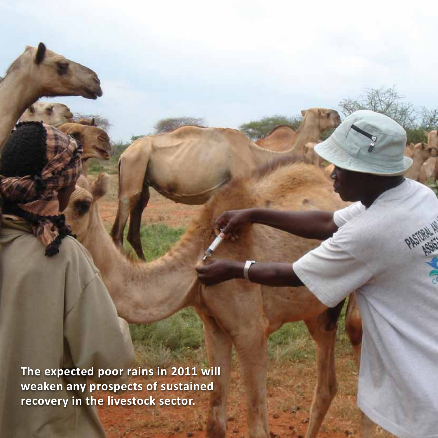**The expected poor rains in 2011 will weaken any prospects of sustained recovery in the livestock sector.**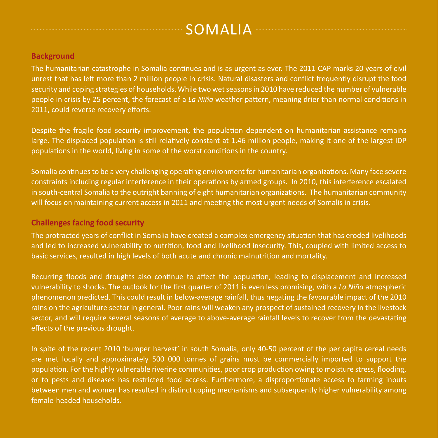# Somalia

#### **Background**

The humanitarian catastrophe in Somalia continues and is as urgent as ever. The 2011 CAP marks 20 years of civil unrest that has left more than 2 million people in crisis. Natural disasters and conflict frequently disrupt the food security and coping strategies of households. While two wet seasons in 2010 have reduced the number of vulnerable people in crisis by 25 percent, the forecast of a *La Niña* weather pattern, meaning drier than normal conditions in 2011, could reverse recovery efforts.

Despite the fragile food security improvement, the population dependent on humanitarian assistance remains large. The displaced population is still relatively constant at 1.46 million people, making it one of the largest IDP populations in the world, living in some of the worst conditions in the country.

Somalia continues to be a very challenging operating environment for humanitarian organizations. Many face severe constraints including regular interference in their operations by armed groups. In 2010, this interference escalated in south-central Somalia to the outright banning of eight humanitarian organizations. The humanitarian community will focus on maintaining current access in 2011 and meeting the most urgent needs of Somalis in crisis.

#### **Challenges facing food security**

The protracted years of conflict in Somalia have created a complex emergency situation that has eroded livelihoods and led to increased vulnerability to nutrition, food and livelihood insecurity. This, coupled with limited access to basic services, resulted in high levels of both acute and chronic malnutrition and mortality.

Recurring floods and droughts also continue to affect the population, leading to displacement and increased vulnerability to shocks. The outlook for the first quarter of 2011 is even less promising, with a *La Niña* atmospheric phenomenon predicted. This could result in below-average rainfall, thus negating the favourable impact of the 2010 rains on the agriculture sector in general. Poor rains will weaken any prospect of sustained recovery in the livestock sector, and will require several seasons of average to above-average rainfall levels to recover from the devastating effects of the previous drought.

In spite of the recent 2010 'bumper harvest' in south Somalia, only 40-50 percent of the per capita cereal needs are met locally and approximately 500 000 tonnes of grains must be commercially imported to support the population. For the highly vulnerable riverine communities, poor crop production owing to moisture stress, flooding, or to pests and diseases has restricted food access. Furthermore, a disproportionate access to farming inputs between men and women has resulted in distinct coping mechanisms and subsequently higher vulnerability among female‑headed households.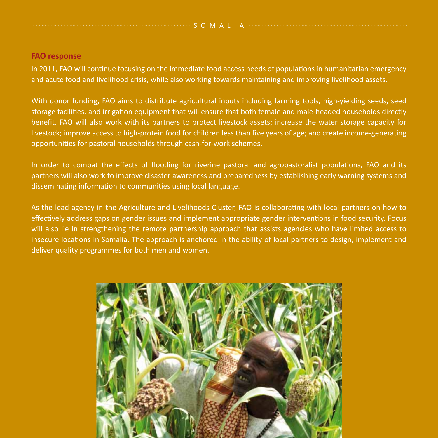#### **FAO response**

In 2011, FAO will continue focusing on the immediate food access needs of populations in humanitarian emergency and acute food and livelihood crisis, while also working towards maintaining and improving livelihood assets.

With donor funding, FAO aims to distribute agricultural inputs including farming tools, high-yielding seeds, seed storage facilities, and irrigation equipment that will ensure that both female and male‑headed households directly benefit. FAO will also work with its partners to protect livestock assets; increase the water storage capacity for livestock; improve access to high-protein food for children less than five years of age; and create income-generating opportunities for pastoral households through cash-for-work schemes.

In order to combat the effects of flooding for riverine pastoral and agropastoralist populations, FAO and its partners will also work to improve disaster awareness and preparedness by establishing early warning systems and disseminating information to communities using local language.

As the lead agency in the Agriculture and Livelihoods Cluster, FAO is collaborating with local partners on how to effectively address gaps on gender issues and implement appropriate gender interventions in food security. Focus will also lie in strengthening the remote partnership approach that assists agencies who have limited access to insecure locations in Somalia. The approach is anchored in the ability of local partners to design, implement and deliver quality programmes for both men and women.

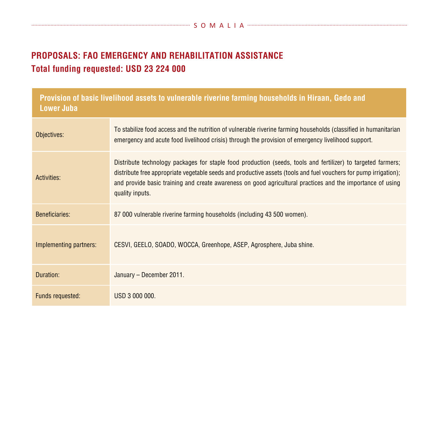## **PROPOSALS: FAO Emergency and Rehabilitation Assistance Total funding requested: USD 23 224 000**

| Provision of basic livelihood assets to vulnerable riverine farming households in Hiraan, Gedo and<br><b>Lower Juba</b> |                                                                                                                                                                                                                                                                                                                                                                   |
|-------------------------------------------------------------------------------------------------------------------------|-------------------------------------------------------------------------------------------------------------------------------------------------------------------------------------------------------------------------------------------------------------------------------------------------------------------------------------------------------------------|
| Objectives:                                                                                                             | To stabilize food access and the nutrition of vulnerable riverine farming households (classified in humanitarian<br>emergency and acute food livelihood crisis) through the provision of emergency livelihood support.                                                                                                                                            |
| Activities:                                                                                                             | Distribute technology packages for staple food production (seeds, tools and fertilizer) to targeted farmers;<br>distribute free appropriate vegetable seeds and productive assets (tools and fuel vouchers for pump irrigation);<br>and provide basic training and create awareness on good agricultural practices and the importance of using<br>quality inputs. |
| Beneficiaries:                                                                                                          | 87 000 vulnerable riverine farming households (including 43 500 women).                                                                                                                                                                                                                                                                                           |
| Implementing partners:                                                                                                  | CESVI, GEELO, SOADO, WOCCA, Greenhope, ASEP, Agrosphere, Juba shine.                                                                                                                                                                                                                                                                                              |
| Duration:                                                                                                               | January - December 2011.                                                                                                                                                                                                                                                                                                                                          |
| Funds requested:                                                                                                        | USD 3 000 000.                                                                                                                                                                                                                                                                                                                                                    |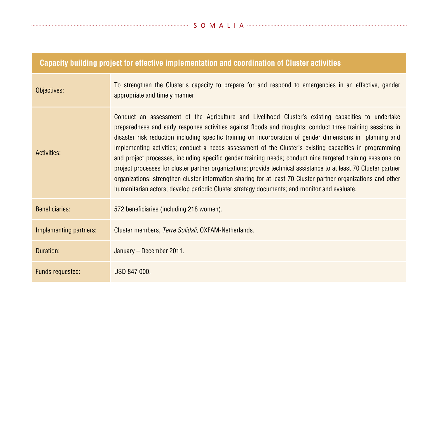| Capacity building project for effective implementation and coordination of Cluster activities |                                                                                                                                                                                                                                                                                                                                                                                                                                                                                                                                                                                                                                                                                                                                                                                                                                                                                             |
|-----------------------------------------------------------------------------------------------|---------------------------------------------------------------------------------------------------------------------------------------------------------------------------------------------------------------------------------------------------------------------------------------------------------------------------------------------------------------------------------------------------------------------------------------------------------------------------------------------------------------------------------------------------------------------------------------------------------------------------------------------------------------------------------------------------------------------------------------------------------------------------------------------------------------------------------------------------------------------------------------------|
| Objectives:                                                                                   | To strengthen the Cluster's capacity to prepare for and respond to emergencies in an effective, gender<br>appropriate and timely manner.                                                                                                                                                                                                                                                                                                                                                                                                                                                                                                                                                                                                                                                                                                                                                    |
| Activities:                                                                                   | Conduct an assessment of the Agriculture and Livelihood Cluster's existing capacities to undertake<br>preparedness and early response activities against floods and droughts; conduct three training sessions in<br>disaster risk reduction including specific training on incorporation of gender dimensions in planning and<br>implementing activities; conduct a needs assessment of the Cluster's existing capacities in programming<br>and project processes, including specific gender training needs; conduct nine targeted training sessions on<br>project processes for cluster partner organizations; provide technical assistance to at least 70 Cluster partner<br>organizations; strengthen cluster information sharing for at least 70 Cluster partner organizations and other<br>humanitarian actors; develop periodic Cluster strategy documents; and monitor and evaluate. |
| <b>Beneficiaries:</b>                                                                         | 572 beneficiaries (including 218 women).                                                                                                                                                                                                                                                                                                                                                                                                                                                                                                                                                                                                                                                                                                                                                                                                                                                    |
| Implementing partners:                                                                        | Cluster members, Terre Solidali, OXFAM-Netherlands.                                                                                                                                                                                                                                                                                                                                                                                                                                                                                                                                                                                                                                                                                                                                                                                                                                         |
| Duration:                                                                                     | January - December 2011.                                                                                                                                                                                                                                                                                                                                                                                                                                                                                                                                                                                                                                                                                                                                                                                                                                                                    |
| Funds requested:                                                                              | USD 847 000.                                                                                                                                                                                                                                                                                                                                                                                                                                                                                                                                                                                                                                                                                                                                                                                                                                                                                |

#### **Capacity building project for effective implementation and coordination of Cluster activities**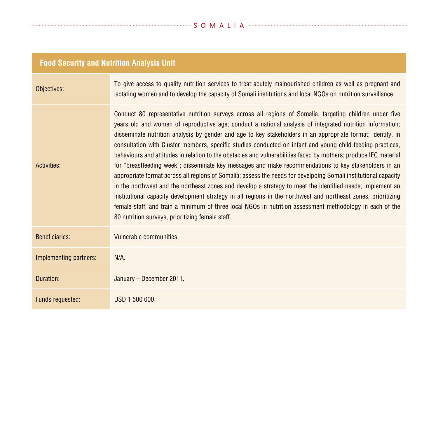#### S O M A L I A

## **Food Security and Nutrition Analysis Unit**

| Objectives:            | To give access to quality nutrition services to treat acutely malnourished children as well as pregnant and<br>lactating women and to develop the capacity of Somali institutions and local NGOs on nutrition surveillance.                                                                                                                                                                                                                                                                                                                                                                                                                                                                                                                                                                                                                                                                                                                                                                                                                                                                                                                                                                       |
|------------------------|---------------------------------------------------------------------------------------------------------------------------------------------------------------------------------------------------------------------------------------------------------------------------------------------------------------------------------------------------------------------------------------------------------------------------------------------------------------------------------------------------------------------------------------------------------------------------------------------------------------------------------------------------------------------------------------------------------------------------------------------------------------------------------------------------------------------------------------------------------------------------------------------------------------------------------------------------------------------------------------------------------------------------------------------------------------------------------------------------------------------------------------------------------------------------------------------------|
| Activities:            | Conduct 80 representative nutrition surveys across all regions of Somalia, targeting children under five<br>years old and women of reproductive age; conduct a national analysis of integrated nutrition information;<br>disseminate nutrition analysis by gender and age to key stakeholders in an appropriate format; identify, in<br>consultation with Cluster members, specific studies conducted on infant and young child feeding practices,<br>behaviours and attitudes in relation to the obstacles and vulnerabilities faced by mothers; produce IEC material<br>for "breastfeeding week"; disseminate key messages and make recommendations to key stakeholders in an<br>appropriate format across all regions of Somalia; assess the needs for develpoing Somali institutional capacity<br>in the northwest and the northeast zones and develop a strategy to meet the identified needs; implement an<br>institutional capacity development strategy in all regions in the northwest and northeast zones, prioritizing<br>female staff; and train a minimum of three local NGOs in nutrition assessment methodology in each of the<br>80 nutrition surveys, prioritizing female staff. |
| <b>Beneficiaries:</b>  | Vulnerable communities.                                                                                                                                                                                                                                                                                                                                                                                                                                                                                                                                                                                                                                                                                                                                                                                                                                                                                                                                                                                                                                                                                                                                                                           |
| Implementing partners: | $N/A$ .                                                                                                                                                                                                                                                                                                                                                                                                                                                                                                                                                                                                                                                                                                                                                                                                                                                                                                                                                                                                                                                                                                                                                                                           |
| Duration:              | January - December 2011.                                                                                                                                                                                                                                                                                                                                                                                                                                                                                                                                                                                                                                                                                                                                                                                                                                                                                                                                                                                                                                                                                                                                                                          |
| Funds requested:       | USD 1 500 000.                                                                                                                                                                                                                                                                                                                                                                                                                                                                                                                                                                                                                                                                                                                                                                                                                                                                                                                                                                                                                                                                                                                                                                                    |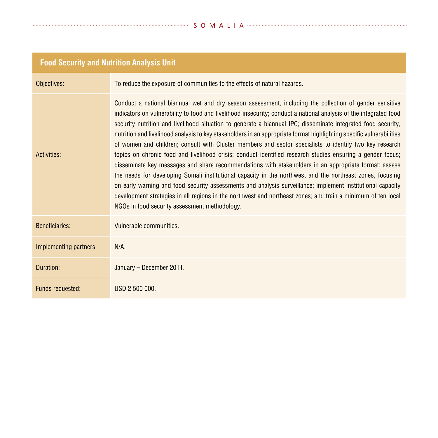| <b>Food Security and Nutrition Analysis Unit</b> |  |
|--------------------------------------------------|--|
|                                                  |  |

| Objectives:            | To reduce the exposure of communities to the effects of natural hazards.                                                                                                                                                                                                                                                                                                                                                                                                                                                                                                                                                                                                                                                                                                                                                                                                                                                                                                                                                                                                                                                                                                                            |
|------------------------|-----------------------------------------------------------------------------------------------------------------------------------------------------------------------------------------------------------------------------------------------------------------------------------------------------------------------------------------------------------------------------------------------------------------------------------------------------------------------------------------------------------------------------------------------------------------------------------------------------------------------------------------------------------------------------------------------------------------------------------------------------------------------------------------------------------------------------------------------------------------------------------------------------------------------------------------------------------------------------------------------------------------------------------------------------------------------------------------------------------------------------------------------------------------------------------------------------|
| Activities:            | Conduct a national biannual wet and dry season assessment, including the collection of gender sensitive<br>indicators on vulnerability to food and livelihood insecurity; conduct a national analysis of the integrated food<br>security nutrition and livelihood situation to generate a biannual IPC; disseminate integrated food security,<br>nutrition and livelihood analysis to key stakeholders in an appropriate format highlighting specific vulnerabilities<br>of women and children; consult with Cluster members and sector specialists to identify two key research<br>topics on chronic food and livelihood crisis; conduct identified research studies ensuring a gender focus;<br>disseminate key messages and share recommendations with stakeholders in an appropriate format; assess<br>the needs for developing Somali institutional capacity in the northwest and the northeast zones, focusing<br>on early warning and food security assessments and analysis surveillance; implement institutional capacity<br>development strategies in all regions in the northwest and northeast zones; and train a minimum of ten local<br>NGOs in food security assessment methodology. |
| <b>Beneficiaries:</b>  | Vulnerable communities.                                                                                                                                                                                                                                                                                                                                                                                                                                                                                                                                                                                                                                                                                                                                                                                                                                                                                                                                                                                                                                                                                                                                                                             |
| Implementing partners: | $N/A$ .                                                                                                                                                                                                                                                                                                                                                                                                                                                                                                                                                                                                                                                                                                                                                                                                                                                                                                                                                                                                                                                                                                                                                                                             |
| Duration:              | January - December 2011.                                                                                                                                                                                                                                                                                                                                                                                                                                                                                                                                                                                                                                                                                                                                                                                                                                                                                                                                                                                                                                                                                                                                                                            |
| Funds requested:       | USD 2 500 000.                                                                                                                                                                                                                                                                                                                                                                                                                                                                                                                                                                                                                                                                                                                                                                                                                                                                                                                                                                                                                                                                                                                                                                                      |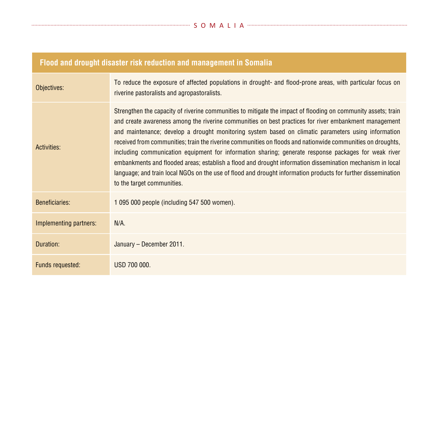### **Flood and drought disaster risk reduction and management in Somalia**

| Objectives:            | To reduce the exposure of affected populations in drought- and flood-prone areas, with particular focus on<br>riverine pastoralists and agropastoralists.                                                                                                                                                                                                                                                                                                                                                                                                                                                                                                                                                                                                                                                        |
|------------------------|------------------------------------------------------------------------------------------------------------------------------------------------------------------------------------------------------------------------------------------------------------------------------------------------------------------------------------------------------------------------------------------------------------------------------------------------------------------------------------------------------------------------------------------------------------------------------------------------------------------------------------------------------------------------------------------------------------------------------------------------------------------------------------------------------------------|
| Activities:            | Strengthen the capacity of riverine communities to mitigate the impact of flooding on community assets; train<br>and create awareness among the riverine communities on best practices for river embankment management<br>and maintenance; develop a drought monitoring system based on climatic parameters using information<br>received from communities; train the riverine communities on floods and nationwide communities on droughts,<br>including communication equipment for information sharing; generate response packages for weak river<br>embankments and flooded areas; establish a flood and drought information dissemination mechanism in local<br>language; and train local NGOs on the use of flood and drought information products for further dissemination<br>to the target communities. |
| <b>Beneficiaries:</b>  | 1 095 000 people (including 547 500 women).                                                                                                                                                                                                                                                                                                                                                                                                                                                                                                                                                                                                                                                                                                                                                                      |
| Implementing partners: | $N/A$ .                                                                                                                                                                                                                                                                                                                                                                                                                                                                                                                                                                                                                                                                                                                                                                                                          |
| Duration:              | January - December 2011.                                                                                                                                                                                                                                                                                                                                                                                                                                                                                                                                                                                                                                                                                                                                                                                         |
| Funds requested:       | USD 700 000.                                                                                                                                                                                                                                                                                                                                                                                                                                                                                                                                                                                                                                                                                                                                                                                                     |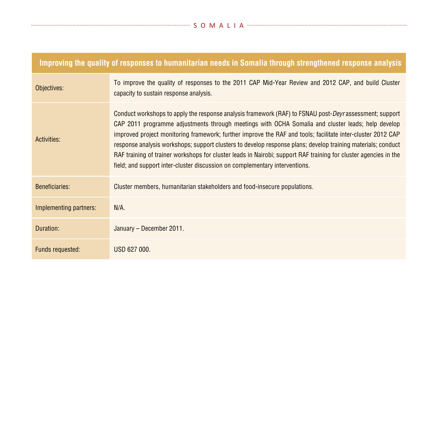| Improving the quality of responses to humanitarian needs in Somalia through strengthened response analysis |                                                                                                                                                                                                                                                                                                                                                                                                                                                                                                                                                                                                                                                        |
|------------------------------------------------------------------------------------------------------------|--------------------------------------------------------------------------------------------------------------------------------------------------------------------------------------------------------------------------------------------------------------------------------------------------------------------------------------------------------------------------------------------------------------------------------------------------------------------------------------------------------------------------------------------------------------------------------------------------------------------------------------------------------|
| Objectives:                                                                                                | To improve the quality of responses to the 2011 CAP Mid-Year Review and 2012 CAP, and build Cluster<br>capacity to sustain response analysis.                                                                                                                                                                                                                                                                                                                                                                                                                                                                                                          |
| Activities:                                                                                                | Conduct workshops to apply the response analysis framework (RAF) to FSNAU post- <i>Deyr</i> assessment; support<br>CAP 2011 programme adjustments through meetings with OCHA Somalia and cluster leads; help develop<br>improved project monitoring framework; further improve the RAF and tools; facilitate inter-cluster 2012 CAP<br>response analysis workshops; support clusters to develop response plans; develop training materials; conduct<br>RAF training of trainer workshops for cluster leads in Nairobi; support RAF training for cluster agencies in the<br>field; and support inter-cluster discussion on complementary interventions. |
| <b>Beneficiaries:</b>                                                                                      | Cluster members, humanitarian stakeholders and food-insecure populations.                                                                                                                                                                                                                                                                                                                                                                                                                                                                                                                                                                              |
| Implementing partners:                                                                                     | $N/A$ .                                                                                                                                                                                                                                                                                                                                                                                                                                                                                                                                                                                                                                                |
| Duration:                                                                                                  | January - December 2011.                                                                                                                                                                                                                                                                                                                                                                                                                                                                                                                                                                                                                               |
| <b>Funds requested:</b>                                                                                    | USD 627 000.                                                                                                                                                                                                                                                                                                                                                                                                                                                                                                                                                                                                                                           |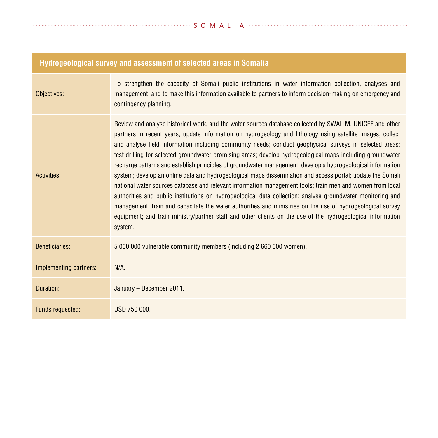#### S O M A L I A

| Hydrogeological survey and assessment of selected areas in Somalia |                                                                                                                                                                                                                                                                                                                                                                                                                                                                                                                                                                                                                                                                                                                                                                                                                                                                                                                                                                                                                                                                                                                                                 |
|--------------------------------------------------------------------|-------------------------------------------------------------------------------------------------------------------------------------------------------------------------------------------------------------------------------------------------------------------------------------------------------------------------------------------------------------------------------------------------------------------------------------------------------------------------------------------------------------------------------------------------------------------------------------------------------------------------------------------------------------------------------------------------------------------------------------------------------------------------------------------------------------------------------------------------------------------------------------------------------------------------------------------------------------------------------------------------------------------------------------------------------------------------------------------------------------------------------------------------|
| Objectives:                                                        | To strengthen the capacity of Somali public institutions in water information collection, analyses and<br>management; and to make this information available to partners to inform decision-making on emergency and<br>contingency planning.                                                                                                                                                                                                                                                                                                                                                                                                                                                                                                                                                                                                                                                                                                                                                                                                                                                                                                    |
| Activities:                                                        | Review and analyse historical work, and the water sources database collected by SWALIM, UNICEF and other<br>partners in recent years; update information on hydrogeology and lithology using satellite images; collect<br>and analyse field information including community needs; conduct geophysical surveys in selected areas;<br>test drilling for selected groundwater promising areas; develop hydrogeological maps including groundwater<br>recharge patterns and establish principles of groundwater management; develop a hydrogeological information<br>system; develop an online data and hydrogeological maps dissemination and access portal; update the Somali<br>national water sources database and relevant information management tools; train men and women from local<br>authorities and public institutions on hydrogeological data collection; analyse groundwater monitoring and<br>management; train and capacitate the water authorities and ministries on the use of hydrogeological survey<br>equipment; and train ministry/partner staff and other clients on the use of the hydrogeological information<br>system. |
| Beneficiaries:                                                     | 5 000 000 vulnerable community members (including 2 660 000 women).                                                                                                                                                                                                                                                                                                                                                                                                                                                                                                                                                                                                                                                                                                                                                                                                                                                                                                                                                                                                                                                                             |
| Implementing partners:                                             | $N/A$ .                                                                                                                                                                                                                                                                                                                                                                                                                                                                                                                                                                                                                                                                                                                                                                                                                                                                                                                                                                                                                                                                                                                                         |
| Duration:                                                          | January - December 2011.                                                                                                                                                                                                                                                                                                                                                                                                                                                                                                                                                                                                                                                                                                                                                                                                                                                                                                                                                                                                                                                                                                                        |
| Funds requested:                                                   | USD 750 000.                                                                                                                                                                                                                                                                                                                                                                                                                                                                                                                                                                                                                                                                                                                                                                                                                                                                                                                                                                                                                                                                                                                                    |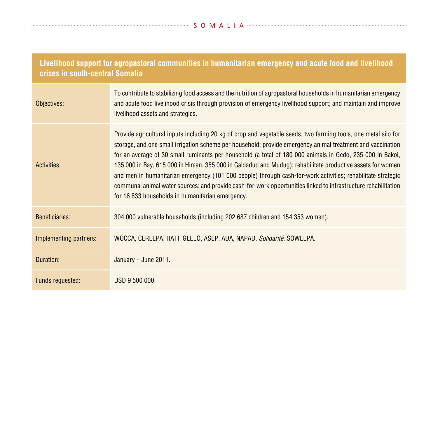| Livelihood support for agropastoral communities in humanitarian emergency and acute food and livelihood<br>crises in south-central Somalia |                                                                                                                                                                                                                                                                                                                                                                                                                                                                                                                                                                                                                                                                                                                                               |
|--------------------------------------------------------------------------------------------------------------------------------------------|-----------------------------------------------------------------------------------------------------------------------------------------------------------------------------------------------------------------------------------------------------------------------------------------------------------------------------------------------------------------------------------------------------------------------------------------------------------------------------------------------------------------------------------------------------------------------------------------------------------------------------------------------------------------------------------------------------------------------------------------------|
| Objectives:                                                                                                                                | To contribute to stabilizing food access and the nutrition of agropastoral households in humanitarian emergency<br>and acute food livelihood crisis through provision of emergency livelihood support; and maintain and improve<br>livelihood assets and strategies.                                                                                                                                                                                                                                                                                                                                                                                                                                                                          |
| Activities:                                                                                                                                | Provide agricultural inputs including 20 kg of crop and vegetable seeds, two farming tools, one metal silo for<br>storage, and one small irrigation scheme per household; provide emergency animal treatment and vaccination<br>for an average of 30 small ruminants per household (a total of 180 000 animals in Gedo, 235 000 in Bakol,<br>135 000 in Bay, 615 000 in Hiraan, 355 000 in Galdadud and Mudug); rehabilitate productive assets for women<br>and men in humanitarian emergency (101 000 people) through cash-for-work activities; rehabilitate strategic<br>communal animal water sources; and provide cash-for-work opportunities linked to infrastructure rehabilitation<br>for 16 833 households in humanitarian emergency. |
| Beneficiaries:                                                                                                                             | 304 000 vulnerable households (including 202 687 children and 154 353 women).                                                                                                                                                                                                                                                                                                                                                                                                                                                                                                                                                                                                                                                                 |
| Implementing partners:                                                                                                                     | WOCCA, CERELPA, HATI, GEELO, ASEP, ADA, NAPAD, Solidarité, SOWELPA.                                                                                                                                                                                                                                                                                                                                                                                                                                                                                                                                                                                                                                                                           |
| Duration:                                                                                                                                  | January - June 2011.                                                                                                                                                                                                                                                                                                                                                                                                                                                                                                                                                                                                                                                                                                                          |
| Funds requested:                                                                                                                           | USD 9 500 000.                                                                                                                                                                                                                                                                                                                                                                                                                                                                                                                                                                                                                                                                                                                                |